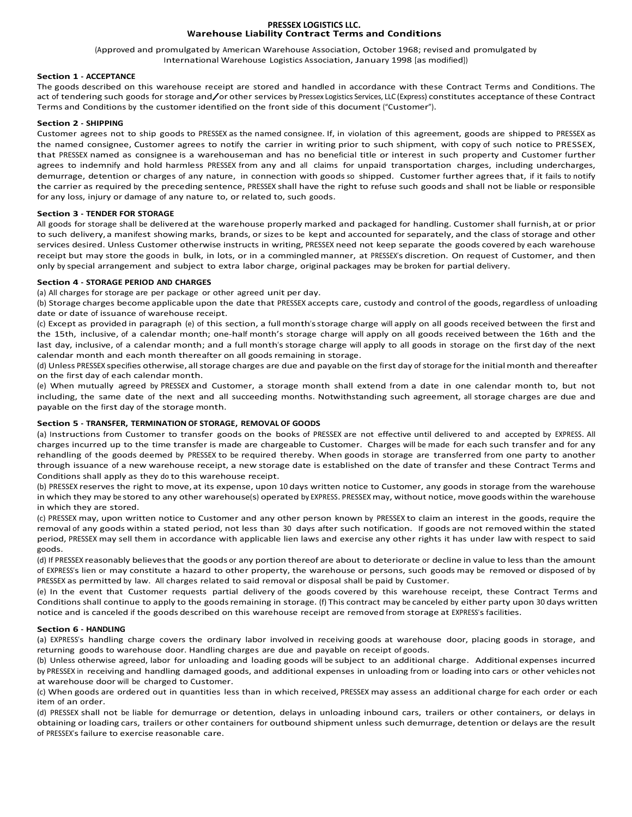### **PRESSEX LOGISTICS LLC. Warehouse Liability Contract Terms and Conditions**

(Approved and promulgated by American Warehouse Association, October 1968; revised and promulgated by International Warehouse Logistics Association, January 1998 [as modified])

## **Section 1 - ACCEPTANCE**

The goods described on this warehouse receipt are stored and handled in accordance with these Contract Terms and Conditions. The act of tendering such goods for storage and/or other services by Pressex Logistics Services, LLC (Express) constitutes acceptance of these Contract Terms and Conditions by the customer identified on the front side of this document ("Customer").

## **Section 2 - SHIPPING**

Customer agrees not to ship goods to PRESSEX as the named consignee. If, in violation of this agreement, goods are shipped to PRESSEX as the named consignee, Customer agrees to notify the carrier in writing prior to such shipment, with copy of such notice to PRESSEX, that PRESSEX named as consignee is a warehouseman and has no beneficial title or interest in such property and Customer further agrees to indemnify and hold harmless PRESSEX from any and all claims for unpaid transportation charges, including undercharges, demurrage, detention or charges of any nature, in connection with goods so shipped. Customer further agrees that, if it fails to notify the carrier as required by the preceding sentence, PRESSEX shall have the right to refuse such goods and shall not be liable or responsible for any loss, injury or damage of any nature to, or related to, such goods.

## **Section 3 - TENDER FOR STORAGE**

All goods for storage shall be delivered at the warehouse properly marked and packaged for handling. Customer shall furnish,at or prior to such delivery, a manifest showing marks, brands, or sizes to be kept and accounted for separately, and the class of storage and other services desired. Unless Customer otherwise instructs in writing, PRESSEX need not keep separate the goods covered by each warehouse receipt but may store the goods in bulk, in lots, or in a commingledmanner, at PRESSEX's discretion. On request of Customer, and then only by special arrangement and subject to extra labor charge, original packages may be broken for partial delivery.

## **Section 4 - STORAGE PERIOD AND CHARGES**

(a) All charges for storage are per package or other agreed unit per day.

(b) Storage charges become applicable upon the date that PRESSEX accepts care, custody and control of the goods,regardless of unloading date or date of issuance of warehouse receipt.

(c) Except as provided in paragraph (e) of this section, a fullmonth'sstorage charge will apply on all goods received between the first and the 15th, inclusive, of a calendar month; one-half month's storage charge will apply on all goods received between the 16th and the last day, inclusive, of a calendar month; and a full month's storage charge will apply to all goods in storage on the first day of the next calendar month and each month thereafter on all goods remaining in storage.

(d) Unless PRESSEX specifies otherwise, allstorage charges are due and payable on the first day of storage for the initialmonth and thereafter on the first day of each calendar month.

(e) When mutually agreed by PRESSEX and Customer, a storage month shall extend from a date in one calendar month to, but not including, the same date of the next and all succeeding months. Notwithstanding such agreement, all storage charges are due and payable on the first day of the storage month.

# **Section 5 - TRANSFER, TERMINATION OF STORAGE, REMOVAL OF GOODS**

(a) Instructions from Customer to transfer goods on the books of PRESSEX are not effective until delivered to and accepted by EXPRESS. All charges incurred up to the time transfer is made are chargeable to Customer. Charges will be made for each such transfer and for any rehandling of the goods deemed by PRESSEX to be required thereby. When goods in storage are transferred from one party to another through issuance of a new warehouse receipt, a new storage date is established on the date of transfer and these Contract Terms and Conditions shall apply as they do to this warehouse receipt.

(b) PRESSEX reserves the right to move, at its expense, upon 10 days written notice to Customer, any goods in storage from the warehouse in which they may be stored to any other warehouse(s) operated by EXPRESS. PRESSEX may, without notice, move goods within the warehouse in which they are stored.

(c) PRESSEX may, upon written notice to Customer and any other person known by PRESSEX to claim an interest in the goods, require the removal of any goods within a stated period, not less than 30 days after such notification. If goods are not removed within the stated period, PRESSEX may sell them in accordance with applicable lien laws and exercise any other rights it has under law with respect to said goods.

(d) If PRESSEX reasonably believesthat the goods or any portion thereof are about to deteriorate or decline in value to less than the amount of EXPRESS's lien or may constitute a hazard to other property, the warehouse or persons, such goods may be removed or disposed of by PRESSEX as permitted by law. All charges related to said removal or disposal shall be paid by Customer.

(e) In the event that Customer requests partial delivery of the goods covered by this warehouse receipt, these Contract Terms and Conditions shall continue to apply to the goodsremaining in storage. (f) This contract may be canceled by either party upon 30 days written notice and is canceled if the goods described on this warehouse receipt are removed from storage at EXPRESS's facilities.

# **Section 6 - HANDLING**

(a) EXPRESS's handling charge covers the ordinary labor involved in receiving goods at warehouse door, placing goods in storage, and returning goods to warehouse door. Handling charges are due and payable on receipt of goods.

(b) Unless otherwise agreed, labor for unloading and loading goods will be subject to an additional charge. Additional expenses incurred by PRESSEX in receiving and handling damaged goods, and additional expenses in unloading from or loading into cars or other vehicles not at warehouse door will be charged to Customer.

(c) When goods are ordered out in quantities less than in which received, PRESSEX may assess an additional charge for each order or each item of an order.

(d) PRESSEX shall not be liable for demurrage or detention, delays in unloading inbound cars, trailers or other containers, or delays in obtaining or loading cars, trailers or other containers for outbound shipment unless such demurrage, detention or delays are the result of PRESSEX's failure to exercise reasonable care.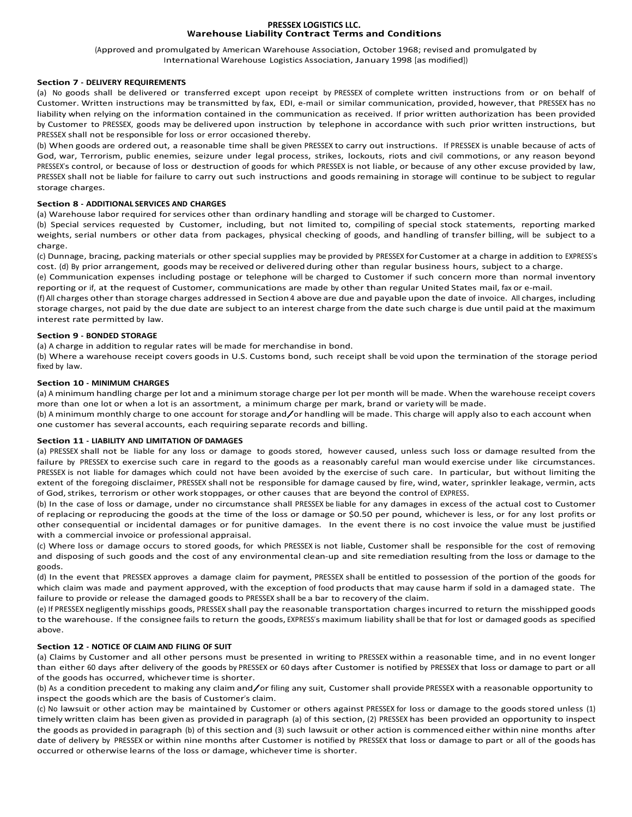### **PRESSEX LOGISTICS LLC. Warehouse Liability Contract Terms and Conditions**

(Approved and promulgated by American Warehouse Association, October 1968; revised and promulgated by International Warehouse Logistics Association, January 1998 [as modified])

## **Section 7 - DELIVERY REQUIREMENTS**

(a) No goods shall be delivered or transferred except upon receipt by PRESSEX of complete written instructions from or on behalf of Customer. Written instructions may be transmitted by fax, EDI, e-mail or similar communication, provided, however, that PRESSEX has no liability when relying on the information contained in the communication as received. If prior written authorization has been provided by Customer to PRESSEX, goods may be delivered upon instruction by telephone in accordance with such prior written instructions, but PRESSEX shall not be responsible for loss or error occasioned thereby.

(b) When goods are ordered out, a reasonable time shall be given PRESSEX to carry out instructions. If PRESSEX is unable because of acts of God, war, Terrorism, public enemies, seizure under legal process, strikes, lockouts, riots and civil commotions, or any reason beyond PRESSEX's control, or because of loss or destruction of goods for which PRESSEX is not liable, or because of any other excuse provided by law, PRESSEX shall not be liable for failure to carry out such instructions and goods remaining in storage will continue to be subject to regular storage charges.

## **Section 8 - ADDITIONAL SERVICES AND CHARGES**

(a) Warehouse labor required forservices other than ordinary handling and storage will be charged to Customer.

(b) Special services requested by Customer, including, but not limited to, compiling of special stock statements, reporting marked weights, serial numbers or other data from packages, physical checking of goods, and handling of transfer billing, will be subject to a charge.

(c) Dunnage, bracing, packing materials or other special supplies may be provided by PRESSEX forCustomer at a charge in addition to EXPRESS's cost. (d) By prior arrangement, goods may be received or delivered during other than regular business hours, subject to a charge.

(e) Communication expenses including postage or telephone will be charged to Customer if such concern more than normal inventory reporting or if, at the request of Customer, communications are made by other than regular United States mail, fax or e-mail.

(f) All charges other than storage charges addressed in Section 4 above are due and payable upon the date of invoice. All charges, including storage charges, not paid by the due date are subject to an interest charge from the date such charge is due until paid at the maximum interest rate permitted by law.

# **Section 9 - BONDED STORAGE**

(a) A charge in addition to regular rates will be made for merchandise in bond.

(b) Where a warehouse receipt covers goods in U.S. Customs bond, such receipt shall be void upon the termination of the storage period fixed by law.

## **Section 10 - MINIMUM CHARGES**

(a) A minimum handling charge per lot and a minimum storage charge per lot per month will be made. When the warehouse receipt covers more than one lot or when a lot is an assortment, a minimum charge per mark, brand or variety will be made.

(b) <sup>A</sup> minimum monthly charge to one account for storage and/or handling will be made. This charge will apply also to each account when one customer has several accounts, each requiring separate records and billing.

## **Section 11 - LIABILITY AND LIMITATION OF DAMAGES**

(a) PRESSEX shall not be liable for any loss or damage to goods stored, however caused, unless such loss or damage resulted from the failure by PRESSEX to exercise such care in regard to the goods as a reasonably careful man would exercise under like circumstances. PRESSEX is not liable for damages which could not have been avoided by the exercise of such care. In particular, but without limiting the extent of the foregoing disclaimer, PRESSEX shall not be responsible for damage caused by fire, wind, water, sprinkler leakage, vermin, acts of God, strikes, terrorism or other work stoppages, or other causes that are beyond the control of EXPRESS.

(b) In the case of loss or damage, under no circumstance shall PRESSEX be liable for any damages in excess of the actual cost to Customer of replacing or reproducing the goods at the time of the loss or damage or \$0.50 per pound, whichever is less, or for any lost profits or other consequential or incidental damages or for punitive damages. In the event there is no cost invoice the value must be justified with a commercial invoice or professional appraisal.

(c) Where loss or damage occurs to stored goods, for which PRESSEX is not liable, Customer shall be responsible for the cost of removing and disposing of such goods and the cost of any environmental clean-up and site remediation resulting from the loss or damage to the goods.

(d) In the event that PRESSEX approves a damage claim for payment, PRESSEX shall be entitled to possession of the portion of the goods for which claim was made and payment approved, with the exception of food products that may cause harm if sold in a damaged state. The failure to provide or release the damaged goods to PRESSEX shall be a bar to recovery of the claim.

(e) If PRESSEX negligentlymisships goods, PRESSEX shall pay the reasonable transportation charges incurred to return the misshipped goods to the warehouse. If the consignee fails to return the goods, EXPRESS's maximum liability shall be that for lost or damaged goods as specified above.

### **Section 12 - NOTICE OF CLAIM AND FILING OF SUIT**

(a) Claims by Customer and all other persons must be presented in writing to PRESSEX within a reasonable time, and in no event longer than either 60 days after delivery of the goods by PRESSEX or 60 days after Customer is notified by PRESSEX that loss or damage to part or all of the goods has occurred, whichever time is shorter.

(b) As <sup>a</sup> condition precedent to making any claim and/or filing any suit, Customer shall provide PRESSEX with <sup>a</sup> reasonable opportunity to inspect the goods which are the basis of Customer's claim.

(c) No lawsuit or other action may be maintained by Customer or others against PRESSEX for loss or damage to the goodsstored unless (1) timely written claim has been given as provided in paragraph (a) of this section, (2) PRESSEX has been provided an opportunity to inspect the goods as provided in paragraph (b) of this section and (3) such lawsuit or other action is commenced either within nine months after date of delivery by PRESSEX or within nine months after Customer is notified by PRESSEX that loss or damage to part or all of the goods has occurred or otherwise learns of the loss or damage, whichevertime is shorter.